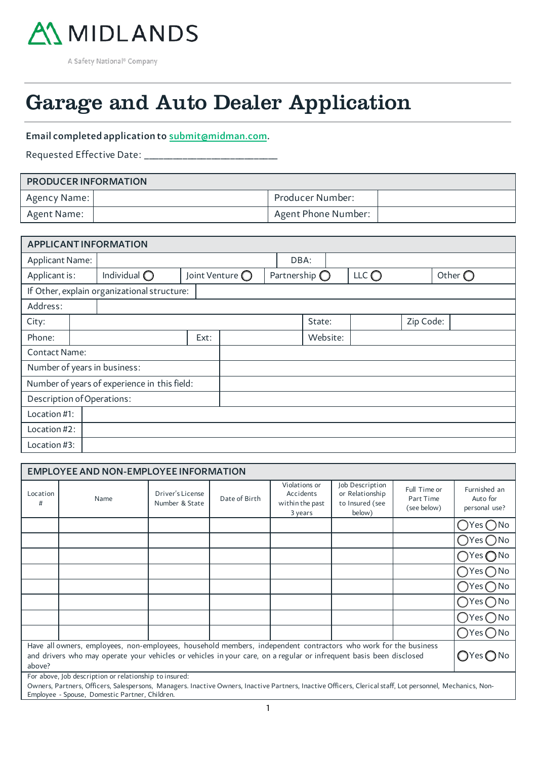

 $\overline{a}$ 

# Garage and Auto Dealer Application

### Email completed application to submit@midman.com.

Requested Effective Date: \_\_\_

55

| <b>PRODUCER INFORMATION</b> |  |                     |  |  |  |  |  |
|-----------------------------|--|---------------------|--|--|--|--|--|
| Agency Name:                |  | Producer Number:    |  |  |  |  |  |
| Agent Name:                 |  | Agent Phone Number: |  |  |  |  |  |

| <b>APPLICANT INFORMATION</b>                 |  |                                             |      |                          |  |                        |  |                |           |                  |
|----------------------------------------------|--|---------------------------------------------|------|--------------------------|--|------------------------|--|----------------|-----------|------------------|
| <b>Applicant Name:</b>                       |  |                                             |      |                          |  | DBA:                   |  |                |           |                  |
| Applicant is:                                |  | Individual $\bigcirc$                       |      | Joint Venture $\bigcirc$ |  | Partnership $\bigcirc$ |  | LLC $\bigcirc$ |           | Other $\bigcirc$ |
|                                              |  | If Other, explain organizational structure: |      |                          |  |                        |  |                |           |                  |
| Address:                                     |  |                                             |      |                          |  |                        |  |                |           |                  |
| City:                                        |  |                                             |      |                          |  | State:                 |  |                | Zip Code: |                  |
| Phone:                                       |  |                                             | Ext: |                          |  | Website:               |  |                |           |                  |
| <b>Contact Name:</b>                         |  |                                             |      |                          |  |                        |  |                |           |                  |
|                                              |  | Number of years in business:                |      |                          |  |                        |  |                |           |                  |
| Number of years of experience in this field: |  |                                             |      |                          |  |                        |  |                |           |                  |
| Description of Operations:                   |  |                                             |      |                          |  |                        |  |                |           |                  |
| Location #1:                                 |  |                                             |      |                          |  |                        |  |                |           |                  |
| Location #2:                                 |  |                                             |      |                          |  |                        |  |                |           |                  |
| Location #3:                                 |  |                                             |      |                          |  |                        |  |                |           |                  |

| <b>EMPLOYEE AND NON-EMPLOYEE INFORMATION</b>                                                                                                                                                                                                     |                                                        |                                    |               |                                                          |                                                                 |                                          |                                           |  |
|--------------------------------------------------------------------------------------------------------------------------------------------------------------------------------------------------------------------------------------------------|--------------------------------------------------------|------------------------------------|---------------|----------------------------------------------------------|-----------------------------------------------------------------|------------------------------------------|-------------------------------------------|--|
| Location<br>#                                                                                                                                                                                                                                    | Name                                                   | Driver's License<br>Number & State | Date of Birth | Violations or<br>Accidents<br>within the past<br>3 years | Job Description<br>or Relationship<br>to Insured (see<br>below) | Full Time or<br>Part Time<br>(see below) | Furnished an<br>Auto for<br>personal use? |  |
|                                                                                                                                                                                                                                                  |                                                        |                                    |               |                                                          |                                                                 |                                          | $\overline{O}$ Yes $\overline{O}$ No      |  |
|                                                                                                                                                                                                                                                  |                                                        |                                    |               |                                                          |                                                                 |                                          | $OYes$ $O$ No                             |  |
|                                                                                                                                                                                                                                                  |                                                        |                                    |               |                                                          |                                                                 |                                          | $OY$ es $O$ No                            |  |
|                                                                                                                                                                                                                                                  |                                                        |                                    |               |                                                          |                                                                 |                                          | $OYes$ No                                 |  |
|                                                                                                                                                                                                                                                  |                                                        |                                    |               |                                                          |                                                                 |                                          | $OYes$ $O$ No                             |  |
|                                                                                                                                                                                                                                                  |                                                        |                                    |               |                                                          |                                                                 |                                          | $OYes$ No                                 |  |
|                                                                                                                                                                                                                                                  |                                                        |                                    |               |                                                          |                                                                 |                                          | $OYes Ono$                                |  |
|                                                                                                                                                                                                                                                  |                                                        |                                    |               |                                                          |                                                                 |                                          | $OYes$ No                                 |  |
| Have all owners, employees, non-employees, household members, independent contractors who work for the business<br>and drivers who may operate your vehicles or vehicles in your care, on a regular or infrequent basis been disclosed<br>above? |                                                        |                                    |               |                                                          |                                                                 |                                          |                                           |  |
|                                                                                                                                                                                                                                                  | For above, Job description or relationship to insured: |                                    |               |                                                          |                                                                 |                                          |                                           |  |

Owners, Partners, Officers, Salespersons, Managers. Inactive Owners, Inactive Partners, Inactive Officers, Clerical staff, Lot personnel, Mechanics, Non-Employee - Spouse, Domestic Partner, Children.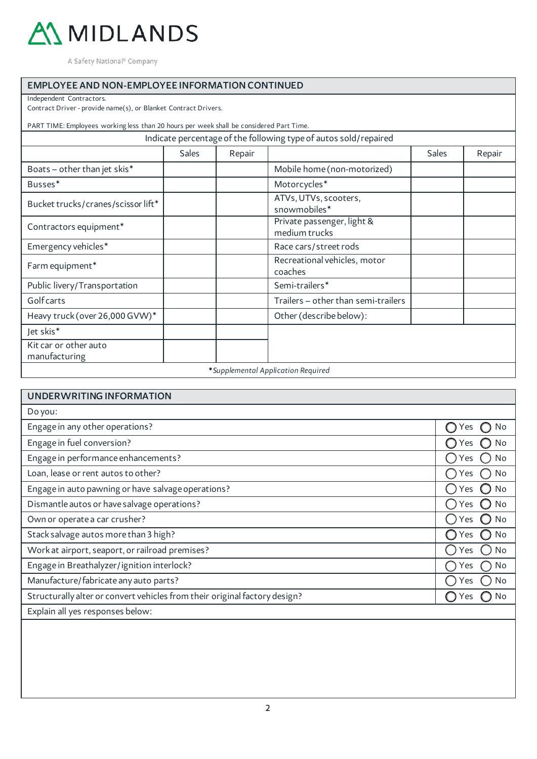

### EMPLOYEE AND NON-EMPLOYEE INFORMATION CONTINUED

Independent Contractors.

Contract Driver - provide name(s), or Blanket Contract Drivers.

PART TIME: Employees working less than 20 hours per week shall be considered Part Time.

| Indicate percentage of the following type of autos sold/repaired |
|------------------------------------------------------------------|
|------------------------------------------------------------------|

|                                        | <b>Sales</b> | Repair |                                             | <b>Sales</b> | Repair |
|----------------------------------------|--------------|--------|---------------------------------------------|--------------|--------|
| Boats - other than jet skis*           |              |        | Mobile home (non-motorized)                 |              |        |
| Busses*                                |              |        | Motorcycles*                                |              |        |
| Bucket trucks/cranes/scissor lift*     |              |        | ATVs, UTVs, scooters,<br>snowmobiles*       |              |        |
| Contractors equipment*                 |              |        | Private passenger, light &<br>medium trucks |              |        |
| Emergency vehicles*                    |              |        | Race cars/street rods                       |              |        |
| Farm equipment*                        |              |        | Recreational vehicles, motor<br>coaches     |              |        |
| Public livery/Transportation           |              |        | Semi-trailers*                              |              |        |
| Golfcarts                              |              |        | Trailers - other than semi-trailers         |              |        |
| Heavy truck (over 26,000 GVW)*         |              |        | Other (describe below):                     |              |        |
| Jet skis*                              |              |        |                                             |              |        |
| Kit car or other auto<br>manufacturing |              |        |                                             |              |        |
|                                        |              |        | *Supplemental Application Required          |              |        |

| <b>UNDERWRITING INFORMATION</b>                                            |           |
|----------------------------------------------------------------------------|-----------|
| Do you:                                                                    |           |
| Engage in any other operations?                                            | No<br>Yes |
| Engage in fuel conversion?                                                 | No<br>'es |
| Engage in performance enhancements?                                        | No<br>Yes |
| Loan, lease or rent autos to other?                                        | No<br>Yes |
| Engage in auto pawning or have salvage operations?                         | No<br>Yes |
| Dismantle autos or have salvage operations?                                | No<br>'es |
| Own or operate a car crusher?                                              | No<br>Yes |
| Stack salvage autos more than 3 high?                                      | No<br>Yes |
| Work at airport, seaport, or railroad premises?                            | No<br>Yes |
| Engage in Breathalyzer/ignition interlock?                                 | No<br>Yes |
| Manufacture/fabricate any auto parts?                                      | No<br>'es |
| Structurally alter or convert vehicles from their original factory design? | No<br>Yes |
| Explain all yes responses below:                                           |           |
|                                                                            |           |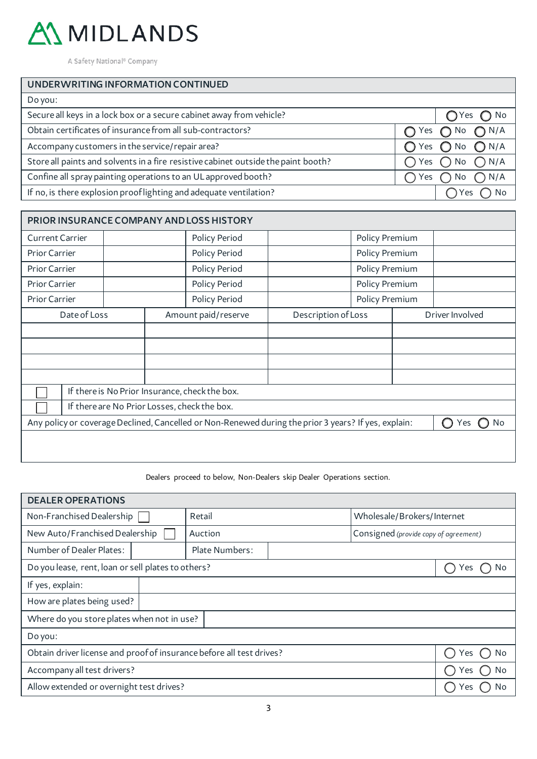

| UNDERWRITING INFORMATION CONTINUED                                                 |     |                                  |
|------------------------------------------------------------------------------------|-----|----------------------------------|
| Do you:                                                                            |     |                                  |
| Secure all keys in a lock box or a secure cabinet away from vehicle?               |     | $OYes$ O No                      |
| Obtain certificates of insurance from all sub-contractors?                         |     | Yes $\bigcap$ No $\bigcap$ N/A   |
| Accompany customers in the service/repair area?                                    |     | $O$ Yes $O$ No $O$ N/A           |
| Store all paints and solvents in a fire resistive cabinet outside the paint booth? |     | Yes $\bigcirc$ No $\bigcirc$ N/A |
| Confine all spray painting operations to an UL approved booth?                     | Yes | $\bigcap$ No $\bigcap$ N/A       |
| If no, is there explosion prooflighting and adequate ventilation?                  |     | Yes<br>No                        |
|                                                                                    |     |                                  |

| PRIOR INSURANCE COMPANY AND LOSS HISTORY                                                                          |              |  |                     |                     |                |                 |  |  |
|-------------------------------------------------------------------------------------------------------------------|--------------|--|---------------------|---------------------|----------------|-----------------|--|--|
| <b>Current Carrier</b>                                                                                            |              |  | Policy Period       |                     | Policy Premium |                 |  |  |
| <b>Prior Carrier</b>                                                                                              |              |  | Policy Period       |                     | Policy Premium |                 |  |  |
| Prior Carrier                                                                                                     |              |  | Policy Period       |                     | Policy Premium |                 |  |  |
| Prior Carrier                                                                                                     |              |  | Policy Period       |                     | Policy Premium |                 |  |  |
| Prior Carrier                                                                                                     |              |  | Policy Period       |                     | Policy Premium |                 |  |  |
|                                                                                                                   | Date of Loss |  | Amount paid/reserve | Description of Loss |                | Driver Involved |  |  |
|                                                                                                                   |              |  |                     |                     |                |                 |  |  |
|                                                                                                                   |              |  |                     |                     |                |                 |  |  |
|                                                                                                                   |              |  |                     |                     |                |                 |  |  |
|                                                                                                                   |              |  |                     |                     |                |                 |  |  |
| If there is No Prior Insurance, check the box.                                                                    |              |  |                     |                     |                |                 |  |  |
| If there are No Prior Losses, check the box.                                                                      |              |  |                     |                     |                |                 |  |  |
| Any policy or coverage Declined, Cancelled or Non-Renewed during the prior 3 years? If yes, explain:<br>No<br>Yes |              |  |                     |                     |                |                 |  |  |
|                                                                                                                   |              |  |                     |                     |                |                 |  |  |

Dealers proceed to below, Non-Dealers skip Dealer Operations section.

| <b>DEALER OPERATIONS</b>                                             |            |                |  |                                       |  |  |  |
|----------------------------------------------------------------------|------------|----------------|--|---------------------------------------|--|--|--|
| Non-Franchised Dealership                                            |            | Retail         |  | Wholesale/Brokers/Internet            |  |  |  |
| New Auto/Franchised Dealership                                       |            | Auction        |  | Consigned (provide copy of agreement) |  |  |  |
| Number of Dealer Plates:                                             |            | Plate Numbers: |  |                                       |  |  |  |
| Do you lease, rent, loan or sell plates to others?                   | No<br>Y es |                |  |                                       |  |  |  |
| If yes, explain:                                                     |            |                |  |                                       |  |  |  |
| How are plates being used?                                           |            |                |  |                                       |  |  |  |
| Where do you store plates when not in use?                           |            |                |  |                                       |  |  |  |
| Do you:                                                              |            |                |  |                                       |  |  |  |
| Obtain driver license and proof of insurance before all test drives? | Yes<br>No  |                |  |                                       |  |  |  |
| Accompany all test drivers?                                          | No<br>Yes  |                |  |                                       |  |  |  |
| Allow extended or overnight test drives?                             |            |                |  |                                       |  |  |  |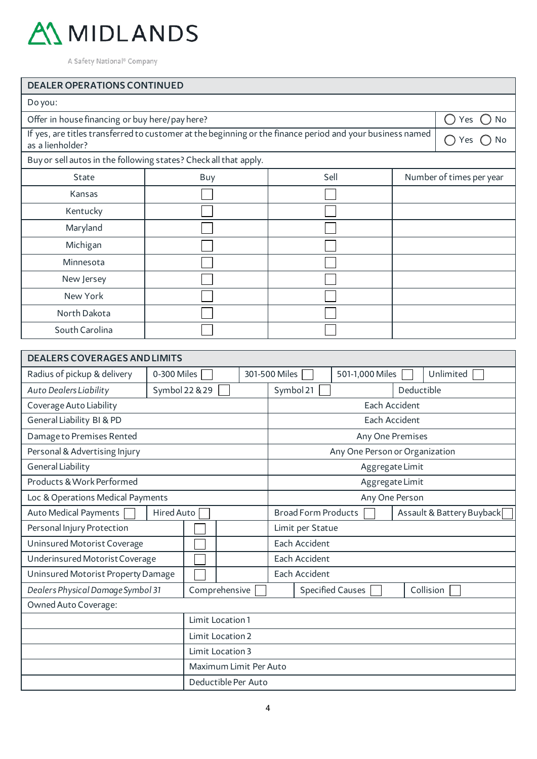

## DEALER OPERATIONS CONTINUED

| Do you:                                                                                                                       |                                                                  |      |  |                          |
|-------------------------------------------------------------------------------------------------------------------------------|------------------------------------------------------------------|------|--|--------------------------|
| Offer in house financing or buy here/pay here?                                                                                |                                                                  |      |  | Yes<br>No                |
| If yes, are titles transferred to customer at the beginning or the finance period and your business named<br>as a lienholder? | No<br>Yes                                                        |      |  |                          |
|                                                                                                                               | Buy or sell autos in the following states? Check all that apply. |      |  |                          |
| <b>State</b>                                                                                                                  | Buy                                                              | Sell |  | Number of times per year |
| Kansas                                                                                                                        |                                                                  |      |  |                          |
| Kentucky                                                                                                                      |                                                                  |      |  |                          |
| Maryland                                                                                                                      |                                                                  |      |  |                          |
| Michigan                                                                                                                      |                                                                  |      |  |                          |
| Minnesota                                                                                                                     |                                                                  |      |  |                          |
| New Jersey                                                                                                                    |                                                                  |      |  |                          |
| New York                                                                                                                      |                                                                  |      |  |                          |
| North Dakota                                                                                                                  |                                                                  |      |  |                          |
| South Carolina                                                                                                                |                                                                  |      |  |                          |

| <b>DEALERS COVERAGES AND LIMITS</b> |                  |               |  |                        |                                                         |  |                                |            |           |
|-------------------------------------|------------------|---------------|--|------------------------|---------------------------------------------------------|--|--------------------------------|------------|-----------|
| Radius of pickup & delivery         | 0-300 Miles      |               |  |                        | 301-500 Miles<br>501-1,000 Miles<br>Unlimited           |  |                                |            |           |
| Auto Dealers Liability              | Symbol 22 & 29   |               |  |                        | Symbol 21                                               |  |                                | Deductible |           |
| Coverage Auto Liability             |                  |               |  |                        |                                                         |  | Each Accident                  |            |           |
| General Liability BI & PD           |                  |               |  |                        |                                                         |  | Each Accident                  |            |           |
| Damage to Premises Rented           |                  |               |  |                        |                                                         |  | Any One Premises               |            |           |
| Personal & Advertising Injury       |                  |               |  |                        |                                                         |  | Any One Person or Organization |            |           |
| General Liability                   |                  |               |  |                        |                                                         |  | Aggregate Limit                |            |           |
| Products & Work Performed           |                  |               |  |                        |                                                         |  | Aggregate Limit                |            |           |
| Loc & Operations Medical Payments   |                  |               |  |                        | Any One Person                                          |  |                                |            |           |
| Auto Medical Payments               | Hired Auto       |               |  |                        | <b>Broad Form Products</b><br>Assault & Battery Buyback |  |                                |            |           |
| Personal Injury Protection          |                  |               |  |                        | Limit per Statue                                        |  |                                |            |           |
| Uninsured Motorist Coverage         |                  |               |  |                        | Each Accident                                           |  |                                |            |           |
| Underinsured Motorist Coverage      |                  |               |  |                        | Each Accident                                           |  |                                |            |           |
| Uninsured Motorist Property Damage  |                  |               |  |                        | Each Accident                                           |  |                                |            |           |
| Dealers Physical Damage Symbol 31   |                  | Comprehensive |  |                        |                                                         |  | <b>Specified Causes</b>        |            | Collision |
| Owned Auto Coverage:                |                  |               |  |                        |                                                         |  |                                |            |           |
| Limit Location 1                    |                  |               |  |                        |                                                         |  |                                |            |           |
|                                     | Limit Location 2 |               |  |                        |                                                         |  |                                |            |           |
|                                     | Limit Location 3 |               |  |                        |                                                         |  |                                |            |           |
|                                     |                  |               |  | Maximum Limit Per Auto |                                                         |  |                                |            |           |
|                                     |                  |               |  | Deductible Per Auto    |                                                         |  |                                |            |           |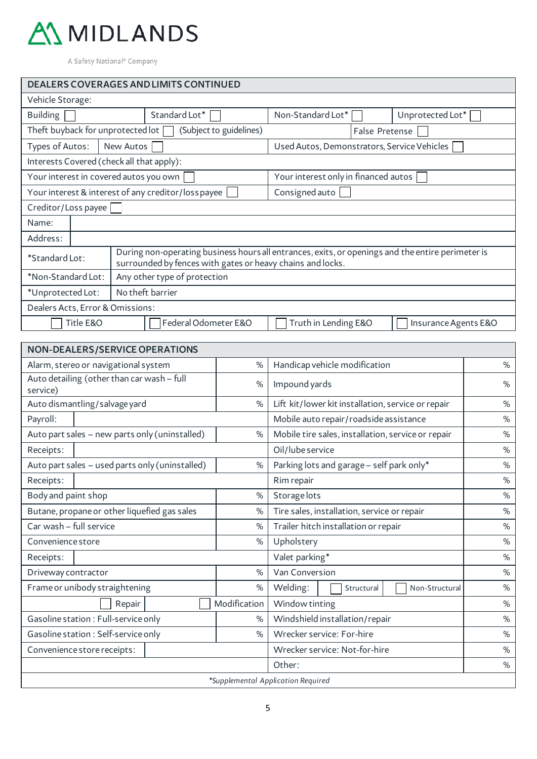

| <b>DEALERS COVERAGES AND LIMITS CONTINUED</b>                                     |                                                                                                                                                                 |                                             |                  |  |  |  |  |  |
|-----------------------------------------------------------------------------------|-----------------------------------------------------------------------------------------------------------------------------------------------------------------|---------------------------------------------|------------------|--|--|--|--|--|
| Vehicle Storage:                                                                  |                                                                                                                                                                 |                                             |                  |  |  |  |  |  |
| <b>Building</b>                                                                   | Standard Lot*                                                                                                                                                   | Non-Standard Lot*                           | Unprotected Lot* |  |  |  |  |  |
| Theft buyback for unprotected lot [                                               | (Subject to guidelines)                                                                                                                                         | False Pretense                              |                  |  |  |  |  |  |
| Types of Autos:                                                                   | New Autos                                                                                                                                                       | Used Autos, Demonstrators, Service Vehicles |                  |  |  |  |  |  |
|                                                                                   | Interests Covered (check all that apply):                                                                                                                       |                                             |                  |  |  |  |  |  |
| Your interest in covered autos you own                                            |                                                                                                                                                                 | Your interest only in financed autos        |                  |  |  |  |  |  |
|                                                                                   | Your interest & interest of any creditor/loss payee                                                                                                             | Consigned auto                              |                  |  |  |  |  |  |
| Creditor/Loss payee                                                               |                                                                                                                                                                 |                                             |                  |  |  |  |  |  |
| Name:                                                                             |                                                                                                                                                                 |                                             |                  |  |  |  |  |  |
| Address:                                                                          |                                                                                                                                                                 |                                             |                  |  |  |  |  |  |
| *Standard Lot:                                                                    | During non-operating business hours all entrances, exits, or openings and the entire perimeter is<br>surrounded by fences with gates or heavy chains and locks. |                                             |                  |  |  |  |  |  |
| *Non-Standard Lot:                                                                | Any other type of protection                                                                                                                                    |                                             |                  |  |  |  |  |  |
| No theft barrier<br>*Unprotected Lot:                                             |                                                                                                                                                                 |                                             |                  |  |  |  |  |  |
| Dealers Acts, Error & Omissions:                                                  |                                                                                                                                                                 |                                             |                  |  |  |  |  |  |
| Title E&O<br>Federal Odometer E&O<br>Truth in Lending E&O<br>Insurance Agents E&O |                                                                                                                                                                 |                                             |                  |  |  |  |  |  |
|                                                                                   |                                                                                                                                                                 |                                             |                  |  |  |  |  |  |
| <b>NON-DEALERS/SERVICE OPERATIONS</b>                                             |                                                                                                                                                                 |                                             |                  |  |  |  |  |  |

| %            | Handicap vehicle modification                      | $\%$                               |
|--------------|----------------------------------------------------|------------------------------------|
| %            | Impound yards                                      | %                                  |
| %            | Lift kit/lower kit installation, service or repair | $\%$                               |
|              | Mobile auto repair/roadside assistance             | $\%$                               |
| %            | Mobile tire sales, installation, service or repair | %                                  |
|              | Oil/lube service                                   | $\%$                               |
| %            | Parking lots and garage - self park only*          | %                                  |
|              | Rim repair                                         | $\%$                               |
| %            | Storagelots                                        | $\%$                               |
| %            | Tire sales, installation, service or repair        | $\%$                               |
| %            | Trailer hitch installation or repair               | %                                  |
| %            | Upholstery                                         | $\%$                               |
|              | Valet parking*                                     | $\%$                               |
| %            | Van Conversion                                     | $\%$                               |
| %            | Welding:<br>Non-Structural<br>Structural           | $\%$                               |
| Modification | Window tinting                                     | %                                  |
| $\%$         | Windshield installation/repair                     | $\%$                               |
| $\%$         | Wrecker service: For-hire                          | %                                  |
|              | Wrecker service: Not-for-hire                      | $\%$                               |
|              | Other:                                             | %                                  |
|              |                                                    |                                    |
|              |                                                    | *Supplemental Application Required |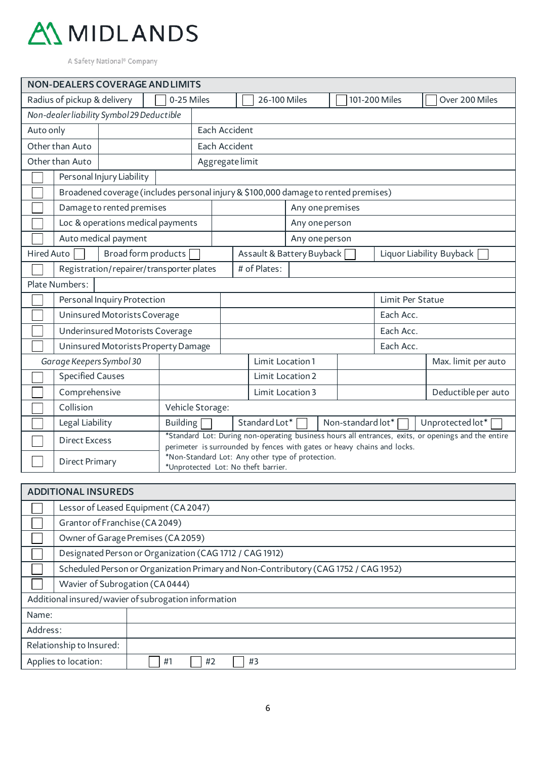

| <b>NON-DEALERS COVERAGE AND LIMITS</b>                   |                                                                                                                                                                                             |                                     |                                                                           |               |  |                  |                  |  |                     |               |                                                                                                     |  |  |  |  |
|----------------------------------------------------------|---------------------------------------------------------------------------------------------------------------------------------------------------------------------------------------------|-------------------------------------|---------------------------------------------------------------------------|---------------|--|------------------|------------------|--|---------------------|---------------|-----------------------------------------------------------------------------------------------------|--|--|--|--|
|                                                          | Radius of pickup & delivery                                                                                                                                                                 |                                     | 0-25 Miles                                                                |               |  | 26-100 Miles     |                  |  |                     | 101-200 Miles | Over 200 Miles                                                                                      |  |  |  |  |
| Non-dealerliability Symbol 29 Deductible                 |                                                                                                                                                                                             |                                     |                                                                           |               |  |                  |                  |  |                     |               |                                                                                                     |  |  |  |  |
| Auto only                                                |                                                                                                                                                                                             |                                     |                                                                           | Each Accident |  |                  |                  |  |                     |               |                                                                                                     |  |  |  |  |
| Other than Auto<br>Each Accident                         |                                                                                                                                                                                             |                                     |                                                                           |               |  |                  |                  |  |                     |               |                                                                                                     |  |  |  |  |
|                                                          | Other than Auto                                                                                                                                                                             |                                     | Aggregate limit                                                           |               |  |                  |                  |  |                     |               |                                                                                                     |  |  |  |  |
|                                                          |                                                                                                                                                                                             | Personal Injury Liability           |                                                                           |               |  |                  |                  |  |                     |               |                                                                                                     |  |  |  |  |
|                                                          | Broadened coverage (includes personal injury & \$100,000 damage to rented premises)                                                                                                         |                                     |                                                                           |               |  |                  |                  |  |                     |               |                                                                                                     |  |  |  |  |
|                                                          |                                                                                                                                                                                             | Damage to rented premises           |                                                                           |               |  |                  | Any one premises |  |                     |               |                                                                                                     |  |  |  |  |
|                                                          |                                                                                                                                                                                             | Loc & operations medical payments   |                                                                           |               |  |                  | Any one person   |  |                     |               |                                                                                                     |  |  |  |  |
|                                                          | Auto medical payment<br>Any one person                                                                                                                                                      |                                     |                                                                           |               |  |                  |                  |  |                     |               |                                                                                                     |  |  |  |  |
|                                                          | Hired Auto<br>Broad form products<br>Assault & Battery Buyback<br>Liquor Liability Buyback                                                                                                  |                                     |                                                                           |               |  |                  |                  |  |                     |               |                                                                                                     |  |  |  |  |
| # of Plates:<br>Registration/repairer/transporter plates |                                                                                                                                                                                             |                                     |                                                                           |               |  |                  |                  |  |                     |               |                                                                                                     |  |  |  |  |
| Plate Numbers:                                           |                                                                                                                                                                                             |                                     |                                                                           |               |  |                  |                  |  |                     |               |                                                                                                     |  |  |  |  |
| Personal Inquiry Protection<br>Limit Per Statue          |                                                                                                                                                                                             |                                     |                                                                           |               |  |                  |                  |  |                     |               |                                                                                                     |  |  |  |  |
|                                                          |                                                                                                                                                                                             | Uninsured Motorists Coverage        |                                                                           |               |  |                  |                  |  |                     | Each Acc.     |                                                                                                     |  |  |  |  |
|                                                          | Underinsured Motorists Coverage                                                                                                                                                             |                                     |                                                                           |               |  |                  |                  |  | Each Acc.           |               |                                                                                                     |  |  |  |  |
|                                                          |                                                                                                                                                                                             | Uninsured Motorists Property Damage |                                                                           |               |  |                  |                  |  |                     | Each Acc.     |                                                                                                     |  |  |  |  |
|                                                          | Garage Keepers Symbol 30                                                                                                                                                                    |                                     |                                                                           |               |  | Limit Location 1 |                  |  |                     |               | Max. limit per auto                                                                                 |  |  |  |  |
|                                                          | <b>Specified Causes</b>                                                                                                                                                                     |                                     | Limit Location 2                                                          |               |  |                  |                  |  |                     |               |                                                                                                     |  |  |  |  |
|                                                          | Comprehensive                                                                                                                                                                               |                                     | Limit Location 3                                                          |               |  |                  |                  |  | Deductible per auto |               |                                                                                                     |  |  |  |  |
|                                                          | Collision                                                                                                                                                                                   |                                     | Vehicle Storage:                                                          |               |  |                  |                  |  |                     |               |                                                                                                     |  |  |  |  |
|                                                          | Legal Liability                                                                                                                                                                             |                                     | Standard Lot*<br>Non-standard lot*<br><b>Building</b><br>Unprotected lot* |               |  |                  |                  |  |                     |               |                                                                                                     |  |  |  |  |
|                                                          | <b>Direct Excess</b>                                                                                                                                                                        |                                     |                                                                           |               |  |                  |                  |  |                     |               | *Standard Lot: During non-operating business hours all entrances, exits, or openings and the entire |  |  |  |  |
|                                                          | perimeter is surrounded by fences with gates or heavy chains and locks.<br>*Non-Standard Lot: Any other type of protection.<br><b>Direct Primary</b><br>*Unprotected Lot: No theft barrier. |                                     |                                                                           |               |  |                  |                  |  |                     |               |                                                                                                     |  |  |  |  |

| <b>ADDITIONAL INSUREDS</b>                           |                                                                                     |  |  |  |  |  |  |  |
|------------------------------------------------------|-------------------------------------------------------------------------------------|--|--|--|--|--|--|--|
|                                                      | Lessor of Leased Equipment (CA 2047)                                                |  |  |  |  |  |  |  |
|                                                      | Grantor of Franchise (CA 2049)                                                      |  |  |  |  |  |  |  |
|                                                      | Owner of Garage Premises (CA 2059)                                                  |  |  |  |  |  |  |  |
|                                                      | Designated Person or Organization (CAG 1712 / CAG 1912)                             |  |  |  |  |  |  |  |
|                                                      | Scheduled Person or Organization Primary and Non-Contributory (CAG 1752 / CAG 1952) |  |  |  |  |  |  |  |
|                                                      | Wavier of Subrogation (CA0444)                                                      |  |  |  |  |  |  |  |
| Additional insured/wavier of subrogation information |                                                                                     |  |  |  |  |  |  |  |
| Name:                                                |                                                                                     |  |  |  |  |  |  |  |
| Address:                                             |                                                                                     |  |  |  |  |  |  |  |
| Relationship to Insured:                             |                                                                                     |  |  |  |  |  |  |  |
|                                                      | Applies to location:<br>#2<br>#1<br>#3                                              |  |  |  |  |  |  |  |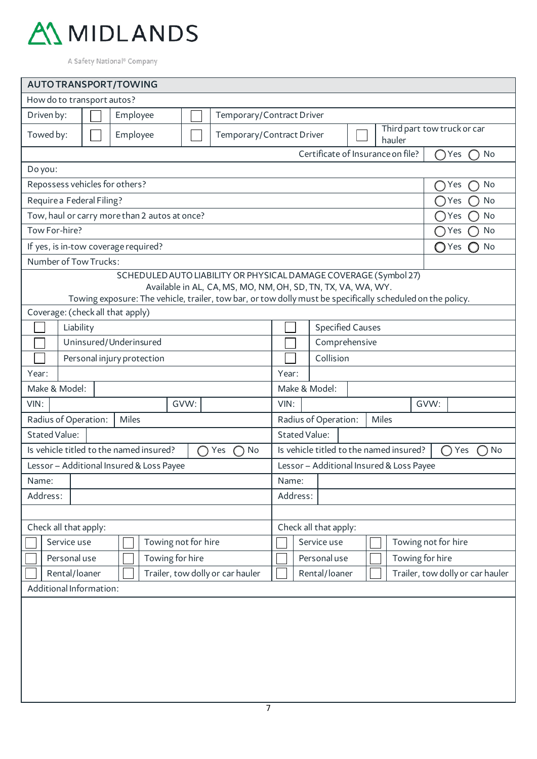

| <b>AUTO TRANSPORT/TOWING</b>                                                                                                                                                                                                                   |                                                   |                        |                     |  |                           |                                                                    |                       |                                   |  |  |  |  |                                  |                          |     |    |  |
|------------------------------------------------------------------------------------------------------------------------------------------------------------------------------------------------------------------------------------------------|---------------------------------------------------|------------------------|---------------------|--|---------------------------|--------------------------------------------------------------------|-----------------------|-----------------------------------|--|--|--|--|----------------------------------|--------------------------|-----|----|--|
| How do to transport autos?                                                                                                                                                                                                                     |                                                   |                        |                     |  |                           |                                                                    |                       |                                   |  |  |  |  |                                  |                          |     |    |  |
| Driven by:                                                                                                                                                                                                                                     |                                                   | Employee               |                     |  | Temporary/Contract Driver |                                                                    |                       |                                   |  |  |  |  |                                  |                          |     |    |  |
| Towed by:                                                                                                                                                                                                                                      |                                                   | Employee               |                     |  |                           | Third part tow truck or car<br>Temporary/Contract Driver<br>hauler |                       |                                   |  |  |  |  |                                  |                          |     |    |  |
|                                                                                                                                                                                                                                                |                                                   |                        |                     |  |                           |                                                                    |                       | Certificate of Insurance on file? |  |  |  |  |                                  | ∩                        | Yes | No |  |
| Do you:                                                                                                                                                                                                                                        |                                                   |                        |                     |  |                           |                                                                    |                       |                                   |  |  |  |  |                                  |                          |     |    |  |
| Repossess vehicles for others?                                                                                                                                                                                                                 |                                                   |                        |                     |  |                           |                                                                    |                       | No<br>Yes                         |  |  |  |  |                                  |                          |     |    |  |
| Require a Federal Filing?                                                                                                                                                                                                                      |                                                   |                        |                     |  |                           |                                                                    |                       |                                   |  |  |  |  |                                  | $\rightarrow$            | Yes | No |  |
| Tow, haul or carry more than 2 autos at once?                                                                                                                                                                                                  |                                                   |                        |                     |  |                           |                                                                    |                       |                                   |  |  |  |  |                                  | $\overline{\phantom{a}}$ | Yes | No |  |
| Tow For-hire?                                                                                                                                                                                                                                  |                                                   |                        |                     |  |                           |                                                                    |                       |                                   |  |  |  |  |                                  | Yes                      |     | No |  |
| If yes, is in-tow coverage required?                                                                                                                                                                                                           |                                                   |                        |                     |  |                           |                                                                    |                       |                                   |  |  |  |  |                                  | ○Yes                     |     | No |  |
| Number of Tow Trucks:                                                                                                                                                                                                                          |                                                   |                        |                     |  |                           |                                                                    |                       |                                   |  |  |  |  |                                  |                          |     |    |  |
| SCHEDULED AUTO LIABILITY OR PHYSICAL DAMAGE COVERAGE (Symbol 27)<br>Available in AL, CA, MS, MO, NM, OH, SD, TN, TX, VA, WA, WY.<br>Towing exposure: The vehicle, trailer, tow bar, or tow dolly must be specifically scheduled on the policy. |                                                   |                        |                     |  |                           |                                                                    |                       |                                   |  |  |  |  |                                  |                          |     |    |  |
| Coverage: (check all that apply)                                                                                                                                                                                                               |                                                   |                        |                     |  |                           |                                                                    |                       |                                   |  |  |  |  |                                  |                          |     |    |  |
|                                                                                                                                                                                                                                                | Liability                                         |                        |                     |  |                           |                                                                    |                       | <b>Specified Causes</b>           |  |  |  |  |                                  |                          |     |    |  |
|                                                                                                                                                                                                                                                |                                                   | Uninsured/Underinsured |                     |  |                           | Comprehensive                                                      |                       |                                   |  |  |  |  |                                  |                          |     |    |  |
|                                                                                                                                                                                                                                                | Personal injury protection                        |                        |                     |  |                           |                                                                    | Collision             |                                   |  |  |  |  |                                  |                          |     |    |  |
| Year:                                                                                                                                                                                                                                          |                                                   |                        |                     |  |                           | Year:                                                              |                       |                                   |  |  |  |  |                                  |                          |     |    |  |
| Make & Model:                                                                                                                                                                                                                                  |                                                   |                        |                     |  |                           | Make & Model:                                                      |                       |                                   |  |  |  |  |                                  |                          |     |    |  |
| GVW:<br>VIN:                                                                                                                                                                                                                                   |                                                   |                        |                     |  | VIN:<br>GVW:              |                                                                    |                       |                                   |  |  |  |  |                                  |                          |     |    |  |
| Radius of Operation:<br>Miles                                                                                                                                                                                                                  |                                                   |                        |                     |  |                           | Radius of Operation:<br>Miles                                      |                       |                                   |  |  |  |  |                                  |                          |     |    |  |
| <b>Stated Value:</b>                                                                                                                                                                                                                           |                                                   |                        |                     |  | <b>Stated Value:</b>      |                                                                    |                       |                                   |  |  |  |  |                                  |                          |     |    |  |
| Is vehicle titled to the named insured?<br>Yes<br>No<br>∩                                                                                                                                                                                      |                                                   |                        |                     |  |                           | Is vehicle titled to the named insured?<br>Yes<br>No<br>$\Box$     |                       |                                   |  |  |  |  |                                  |                          |     |    |  |
| Lessor - Additional Insured & Loss Payee                                                                                                                                                                                                       |                                                   |                        |                     |  |                           | Lessor - Additional Insured & Loss Payee                           |                       |                                   |  |  |  |  |                                  |                          |     |    |  |
| Name:                                                                                                                                                                                                                                          |                                                   |                        |                     |  |                           | Name:                                                              |                       |                                   |  |  |  |  |                                  |                          |     |    |  |
| Address:                                                                                                                                                                                                                                       |                                                   |                        |                     |  |                           | Address:                                                           |                       |                                   |  |  |  |  |                                  |                          |     |    |  |
|                                                                                                                                                                                                                                                |                                                   |                        |                     |  |                           |                                                                    |                       |                                   |  |  |  |  |                                  |                          |     |    |  |
| Check all that apply:                                                                                                                                                                                                                          |                                                   |                        |                     |  |                           |                                                                    | Check all that apply: |                                   |  |  |  |  |                                  |                          |     |    |  |
| Service use                                                                                                                                                                                                                                    |                                                   |                        | Towing not for hire |  |                           |                                                                    | Service use           |                                   |  |  |  |  | Towing not for hire              |                          |     |    |  |
| Personal use                                                                                                                                                                                                                                   |                                                   |                        | Towing for hire     |  |                           |                                                                    |                       | Personal use                      |  |  |  |  |                                  | Towing for hire          |     |    |  |
|                                                                                                                                                                                                                                                | Trailer, tow dolly or car hauler<br>Rental/loaner |                        |                     |  |                           | Rental/loaner                                                      |                       |                                   |  |  |  |  | Trailer, tow dolly or car hauler |                          |     |    |  |
| Additional Information:                                                                                                                                                                                                                        |                                                   |                        |                     |  |                           |                                                                    |                       |                                   |  |  |  |  |                                  |                          |     |    |  |
|                                                                                                                                                                                                                                                |                                                   |                        |                     |  |                           |                                                                    |                       |                                   |  |  |  |  |                                  |                          |     |    |  |